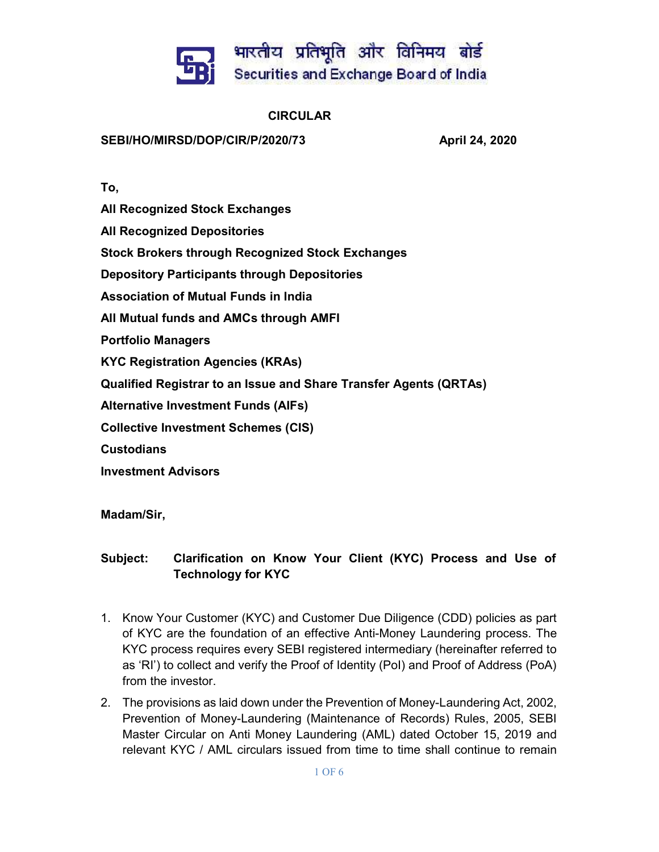

## CIRCULAR

## SEBI/HO/MIRSD/DOP/CIR/P/2020/73 April 24, 2020

To,

All Recognized Stock Exchanges

All Recognized Depositories

Stock Brokers through Recognized Stock Exchanges

Depository Participants through Depositories

Association of Mutual Funds in India

All Mutual funds and AMCs through AMFI

Portfolio Managers

KYC Registration Agencies (KRAs)

Qualified Registrar to an Issue and Share Transfer Agents (QRTAs)

Alternative Investment Funds (AIFs)

Collective Investment Schemes (CIS)

**Custodians** 

Investment Advisors

Madam/Sir,

## Subject: Clarification on Know Your Client (KYC) Process and Use of Technology for KYC

- 1. Know Your Customer (KYC) and Customer Due Diligence (CDD) policies as part of KYC are the foundation of an effective Anti-Money Laundering process. The KYC process requires every SEBI registered intermediary (hereinafter referred to as 'RI') to collect and verify the Proof of Identity (PoI) and Proof of Address (PoA) from the investor.
- 2. The provisions as laid down under the Prevention of Money-Laundering Act, 2002, Prevention of Money-Laundering (Maintenance of Records) Rules, 2005, SEBI Master Circular on Anti Money Laundering (AML) dated October 15, 2019 and relevant KYC / AML circulars issued from time to time shall continue to remain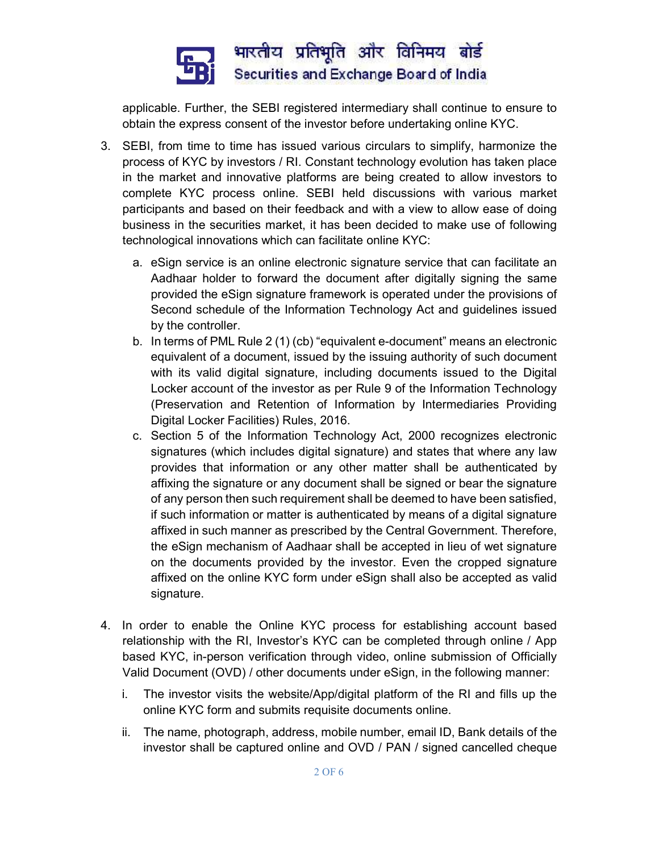

applicable. Further, the SEBI registered intermediary shall continue to ensure to obtain the express consent of the investor before undertaking online KYC.

- 3. SEBI, from time to time has issued various circulars to simplify, harmonize the process of KYC by investors / RI. Constant technology evolution has taken place in the market and innovative platforms are being created to allow investors to complete KYC process online. SEBI held discussions with various market participants and based on their feedback and with a view to allow ease of doing business in the securities market, it has been decided to make use of following technological innovations which can facilitate online KYC:
	- a. eSign service is an online electronic signature service that can facilitate an Aadhaar holder to forward the document after digitally signing the same provided the eSign signature framework is operated under the provisions of Second schedule of the Information Technology Act and guidelines issued by the controller.
	- b. In terms of PML Rule 2 (1) (cb) "equivalent e-document" means an electronic equivalent of a document, issued by the issuing authority of such document with its valid digital signature, including documents issued to the Digital Locker account of the investor as per Rule 9 of the Information Technology (Preservation and Retention of Information by Intermediaries Providing Digital Locker Facilities) Rules, 2016.
	- c. Section 5 of the Information Technology Act, 2000 recognizes electronic signatures (which includes digital signature) and states that where any law provides that information or any other matter shall be authenticated by affixing the signature or any document shall be signed or bear the signature of any person then such requirement shall be deemed to have been satisfied, if such information or matter is authenticated by means of a digital signature affixed in such manner as prescribed by the Central Government. Therefore, the eSign mechanism of Aadhaar shall be accepted in lieu of wet signature on the documents provided by the investor. Even the cropped signature affixed on the online KYC form under eSign shall also be accepted as valid signature.
- 4. In order to enable the Online KYC process for establishing account based relationship with the RI, Investor's KYC can be completed through online / App based KYC, in-person verification through video, online submission of Officially Valid Document (OVD) / other documents under eSign, in the following manner:
	- i. The investor visits the website/App/digital platform of the RI and fills up the online KYC form and submits requisite documents online.
	- ii. The name, photograph, address, mobile number, email ID, Bank details of the investor shall be captured online and OVD / PAN / signed cancelled cheque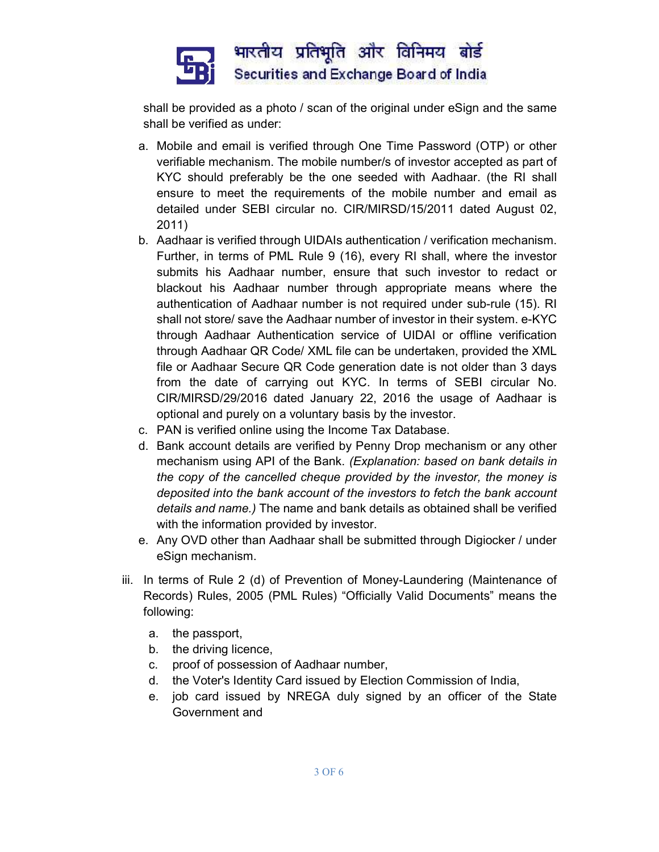

shall be provided as a photo / scan of the original under eSign and the same shall be verified as under:

- a. Mobile and email is verified through One Time Password (OTP) or other verifiable mechanism. The mobile number/s of investor accepted as part of KYC should preferably be the one seeded with Aadhaar. (the RI shall ensure to meet the requirements of the mobile number and email as detailed under SEBI circular no. CIR/MIRSD/15/2011 dated August 02, 2011)
- b. Aadhaar is verified through UIDAIs authentication / verification mechanism. Further, in terms of PML Rule 9 (16), every RI shall, where the investor submits his Aadhaar number, ensure that such investor to redact or blackout his Aadhaar number through appropriate means where the authentication of Aadhaar number is not required under sub-rule (15). RI shall not store/ save the Aadhaar number of investor in their system. e-KYC through Aadhaar Authentication service of UIDAI or offline verification through Aadhaar QR Code/ XML file can be undertaken, provided the XML file or Aadhaar Secure QR Code generation date is not older than 3 days from the date of carrying out KYC. In terms of SEBI circular No. CIR/MIRSD/29/2016 dated January 22, 2016 the usage of Aadhaar is optional and purely on a voluntary basis by the investor.
- c. PAN is verified online using the Income Tax Database.
- d. Bank account details are verified by Penny Drop mechanism or any other mechanism using API of the Bank. (Explanation: based on bank details in the copy of the cancelled cheque provided by the investor, the money is deposited into the bank account of the investors to fetch the bank account details and name.) The name and bank details as obtained shall be verified with the information provided by investor.
- e. Any OVD other than Aadhaar shall be submitted through Digiocker / under eSign mechanism.
- iii. In terms of Rule 2 (d) of Prevention of Money-Laundering (Maintenance of Records) Rules, 2005 (PML Rules) "Officially Valid Documents" means the following:
	- a. the passport,
	- b. the driving licence,
	- c. proof of possession of Aadhaar number,
	- d. the Voter's Identity Card issued by Election Commission of India,
	- e. job card issued by NREGA duly signed by an officer of the State Government and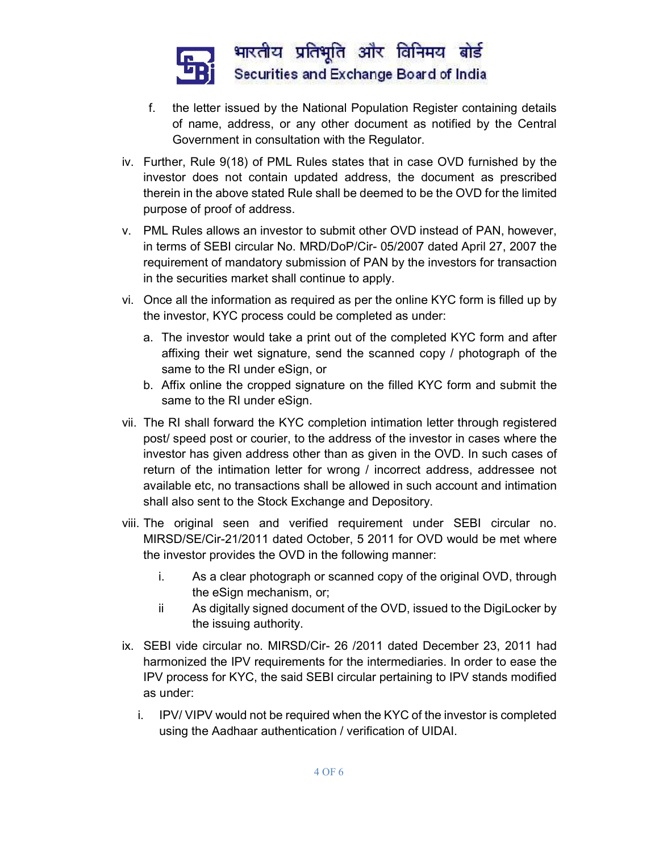

- f. the letter issued by the National Population Register containing details of name, address, or any other document as notified by the Central Government in consultation with the Regulator.
- iv. Further, Rule 9(18) of PML Rules states that in case OVD furnished by the investor does not contain updated address, the document as prescribed therein in the above stated Rule shall be deemed to be the OVD for the limited purpose of proof of address.
- v. PML Rules allows an investor to submit other OVD instead of PAN, however, in terms of SEBI circular No. MRD/DoP/Cir- 05/2007 dated April 27, 2007 the requirement of mandatory submission of PAN by the investors for transaction in the securities market shall continue to apply.
- vi. Once all the information as required as per the online KYC form is filled up by the investor, KYC process could be completed as under:
	- a. The investor would take a print out of the completed KYC form and after affixing their wet signature, send the scanned copy / photograph of the same to the RI under eSign, or
	- b. Affix online the cropped signature on the filled KYC form and submit the same to the RI under eSign.
- vii. The RI shall forward the KYC completion intimation letter through registered post/ speed post or courier, to the address of the investor in cases where the investor has given address other than as given in the OVD. In such cases of return of the intimation letter for wrong / incorrect address, addressee not available etc, no transactions shall be allowed in such account and intimation shall also sent to the Stock Exchange and Depository.
- viii. The original seen and verified requirement under SEBI circular no. MIRSD/SE/Cir-21/2011 dated October, 5 2011 for OVD would be met where the investor provides the OVD in the following manner:
	- i. As a clear photograph or scanned copy of the original OVD, through the eSign mechanism, or;
	- ii As digitally signed document of the OVD, issued to the DigiLocker by the issuing authority.
- ix. SEBI vide circular no. MIRSD/Cir- 26 /2011 dated December 23, 2011 had harmonized the IPV requirements for the intermediaries. In order to ease the IPV process for KYC, the said SEBI circular pertaining to IPV stands modified as under:
	- i. IPV/ VIPV would not be required when the KYC of the investor is completed using the Aadhaar authentication / verification of UIDAI.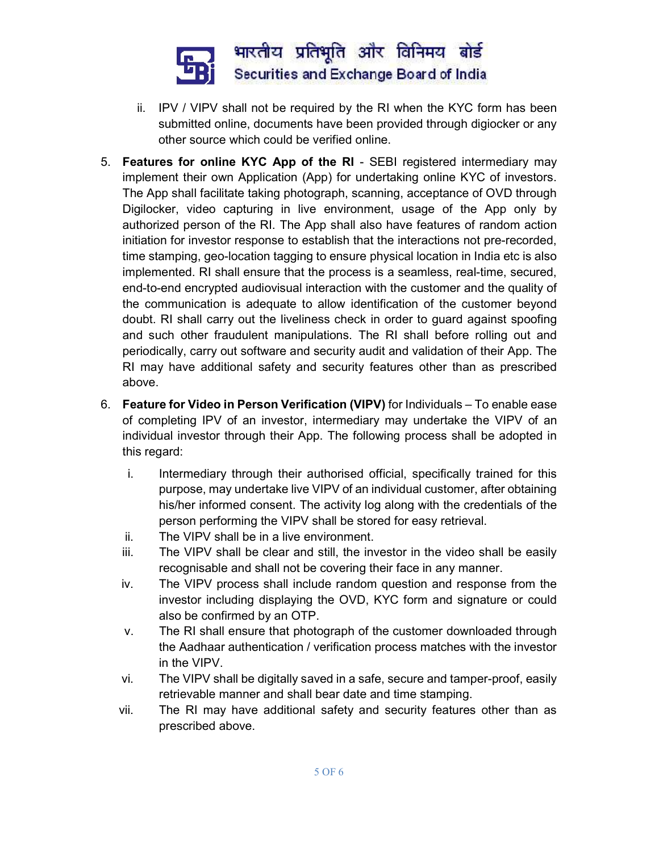

- ii. IPV / VIPV shall not be required by the RI when the KYC form has been submitted online, documents have been provided through digiocker or any other source which could be verified online.
- 5. Features for online KYC App of the RI SEBI registered intermediary may implement their own Application (App) for undertaking online KYC of investors. The App shall facilitate taking photograph, scanning, acceptance of OVD through Digilocker, video capturing in live environment, usage of the App only by authorized person of the RI. The App shall also have features of random action initiation for investor response to establish that the interactions not pre-recorded, time stamping, geo-location tagging to ensure physical location in India etc is also implemented. RI shall ensure that the process is a seamless, real-time, secured, end-to-end encrypted audiovisual interaction with the customer and the quality of the communication is adequate to allow identification of the customer beyond doubt. RI shall carry out the liveliness check in order to guard against spoofing and such other fraudulent manipulations. The RI shall before rolling out and periodically, carry out software and security audit and validation of their App. The RI may have additional safety and security features other than as prescribed above.
- 6. Feature for Video in Person Verification (VIPV) for Individuals To enable ease of completing IPV of an investor, intermediary may undertake the VIPV of an individual investor through their App. The following process shall be adopted in this regard:
	- i. Intermediary through their authorised official, specifically trained for this purpose, may undertake live VIPV of an individual customer, after obtaining his/her informed consent. The activity log along with the credentials of the person performing the VIPV shall be stored for easy retrieval.
	- ii. The VIPV shall be in a live environment.
	- iii. The VIPV shall be clear and still, the investor in the video shall be easily recognisable and shall not be covering their face in any manner.
	- iv. The VIPV process shall include random question and response from the investor including displaying the OVD, KYC form and signature or could also be confirmed by an OTP.
	- v. The RI shall ensure that photograph of the customer downloaded through the Aadhaar authentication / verification process matches with the investor in the VIPV.
	- vi. The VIPV shall be digitally saved in a safe, secure and tamper-proof, easily retrievable manner and shall bear date and time stamping.
	- vii. The RI may have additional safety and security features other than as prescribed above.